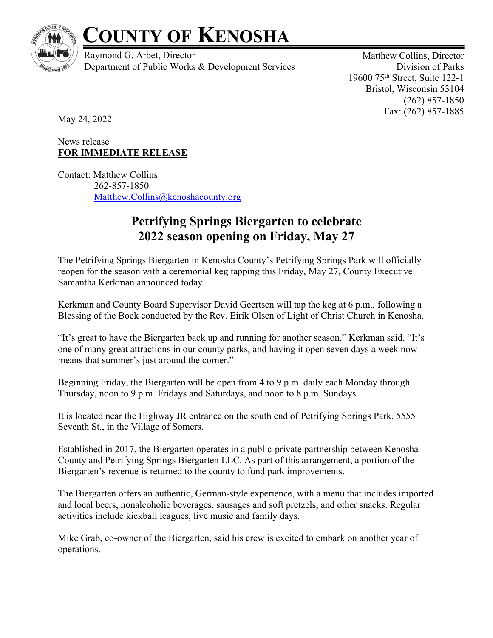

## **COUNTY OF KENOSHA**

Raymond G. Arbet, Director Department of Public Works & Development Services

Matthew Collins, Director Division of Parks 19600 75th Street, Suite 122-1 Bristol, Wisconsin 53104 (262) 857-1850 Fax: (262) 857-1885

May 24, 2022

## News release **FOR IMMEDIATE RELEASE**

Contact: Matthew Collins 262-857-1850 Matthew.Collins@kenoshacounty.org

## **Petrifying Springs Biergarten to celebrate 2022 season opening on Friday, May 27**

The Petrifying Springs Biergarten in Kenosha County's Petrifying Springs Park will officially reopen for the season with a ceremonial keg tapping this Friday, May 27, County Executive Samantha Kerkman announced today.

Kerkman and County Board Supervisor David Geertsen will tap the keg at 6 p.m., following a Blessing of the Bock conducted by the Rev. Eirik Olsen of Light of Christ Church in Kenosha.

"It's great to have the Biergarten back up and running for another season," Kerkman said. "It's one of many great attractions in our county parks, and having it open seven days a week now means that summer's just around the corner."

Beginning Friday, the Biergarten will be open from 4 to 9 p.m. daily each Monday through Thursday, noon to 9 p.m. Fridays and Saturdays, and noon to 8 p.m. Sundays.

It is located near the Highway JR entrance on the south end of Petrifying Springs Park, 5555 Seventh St., in the Village of Somers.

Established in 2017, the Biergarten operates in a public-private partnership between Kenosha County and Petrifying Springs Biergarten LLC. As part of this arrangement, a portion of the Biergarten's revenue is returned to the county to fund park improvements.

The Biergarten offers an authentic, German-style experience, with a menu that includes imported and local beers, nonalcoholic beverages, sausages and soft pretzels, and other snacks. Regular activities include kickball leagues, live music and family days.

Mike Grab, co-owner of the Biergarten, said his crew is excited to embark on another year of operations.